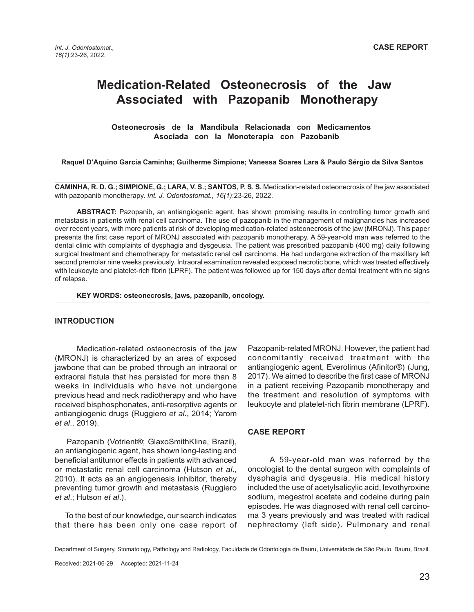# **Medication-Related Osteonecrosis of the Jaw Associated with Pazopanib Monotherapy**

 **Osteonecrosis de la Mandíbula Relacionada con Medicamentos Asociada con la Monoterapia con Pazobanib**

**Raquel D'Aquino Garcia Caminha; Guilherme Simpione; Vanessa Soares Lara & Paulo Sérgio da Silva Santos**

**CAMINHA, R. D. G.; SIMPIONE, G.; LARA, V. S.; SANTOS, P. S. S.** Medication-related osteonecrosis of the jaw associated with pazopanib monotherapy. *Int. J. Odontostomat., 16(1)*:23-26, 2022.

**ABSTRACT:** Pazopanib, an antiangiogenic agent, has shown promising results in controlling tumor growth and metastasis in patients with renal cell carcinoma. The use of pazopanib in the management of malignancies has increased over recent years, with more patients at risk of developing medication-related osteonecrosis of the jaw (MRONJ). This paper presents the first case report of MRONJ associated with pazopanib monotherapy. A 59-year-old man was referred to the dental clinic with complaints of dysphagia and dysgeusia. The patient was prescribed pazopanib (400 mg) daily following surgical treatment and chemotherapy for metastatic renal cell carcinoma. He had undergone extraction of the maxillary left second premolar nine weeks previously. Intraoral examination revealed exposed necrotic bone, which was treated effectively with leukocyte and platelet-rich fibrin (LPRF). The patient was followed up for 150 days after dental treatment with no signs of relapse.

**KEY WORDS: osteonecrosis, jaws, pazopanib, oncology.**

### **INTRODUCTION**

Medication-related osteonecrosis of the jaw (MRONJ) is characterized by an area of exposed jawbone that can be probed through an intraoral or extraoral fistula that has persisted for more than 8 weeks in individuals who have not undergone previous head and neck radiotherapy and who have received bisphosphonates, anti-resorptive agents or antiangiogenic drugs (Ruggiero *et al*., 2014; Yarom *et al*., 2019).

 Pazopanib (Votrient®; GlaxoSmithKline, Brazil), an antiangiogenic agent, has shown long-lasting and beneficial antitumor effects in patients with advanced or metastatic renal cell carcinoma (Hutson *et al*., 2010). It acts as an angiogenesis inhibitor, thereby preventing tumor growth and metastasis (Ruggiero *et al*.; Hutson *et al*.).

 To the best of our knowledge, our search indicates that there has been only one case report of

Pazopanib-related MRONJ. However, the patient had concomitantly received treatment with the antiangiogenic agent, Everolimus (Afinitor®) (Jung, 2017). We aimed to describe the first case of MRONJ in a patient receiving Pazopanib monotherapy and the treatment and resolution of symptoms with leukocyte and platelet-rich fibrin membrane (LPRF).

#### **CASE REPORT**

A 59-year-old man was referred by the oncologist to the dental surgeon with complaints of dysphagia and dysgeusia. His medical history included the use of acetylsalicylic acid, levothyroxine sodium, megestrol acetate and codeine during pain episodes. He was diagnosed with renal cell carcinoma 3 years previously and was treated with radical nephrectomy (left side). Pulmonary and renal

Department of Surgery, Stomatology, Pathology and Radiology, Faculdade de Odontologia de Bauru, Universidade de São Paulo, Bauru, Brazil.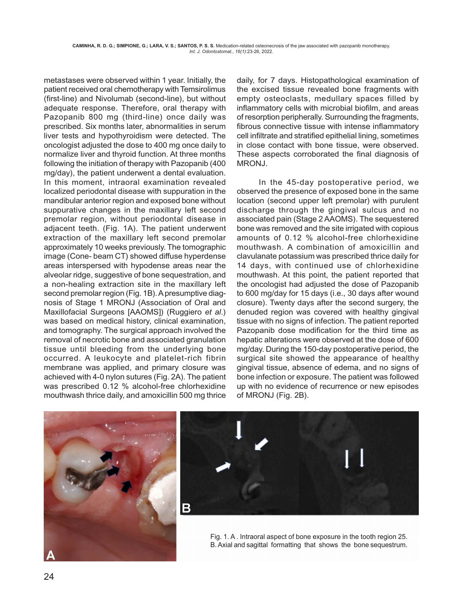metastases were observed within 1 year. Initially, the patient received oral chemotherapy with Temsirolimus (first-line) and Nivolumab (second-line), but without adequate response. Therefore, oral therapy with Pazopanib 800 mg (third-line) once daily was prescribed. Six months later, abnormalities in serum liver tests and hypothyroidism were detected. The oncologist adjusted the dose to 400 mg once daily to normalize liver and thyroid function. At three months following the initiation of therapy with Pazopanib (400 mg/day), the patient underwent a dental evaluation. In this moment, intraoral examination revealed localized periodontal disease with suppuration in the mandibular anterior region and exposed bone without suppurative changes in the maxillary left second premolar region, without periodontal disease in adjacent teeth. (Fig. 1A). The patient underwent extraction of the maxillary left second premolar approximately 10 weeks previously. The tomographic image (Cone- beam CT) showed diffuse hyperdense areas interspersed with hypodense areas near the alveolar ridge, suggestive of bone sequestration, and a non-healing extraction site in the maxillary left second premolar region (Fig. 1B). A presumptive diagnosis of Stage 1 MRONJ (Association of Oral and Maxillofacial Surgeons [AAOMS]) (Ruggiero *et al*.) was based on medical history, clinical examination, and tomography. The surgical approach involved the removal of necrotic bone and associated granulation tissue until bleeding from the underlying bone occurred. A leukocyte and platelet-rich fibrin membrane was applied, and primary closure was achieved with 4-0 nylon sutures (Fig. 2A). The patient was prescribed 0.12 % alcohol-free chlorhexidine mouthwash thrice daily, and amoxicillin 500 mg thrice

daily, for 7 days. Histopathological examination of the excised tissue revealed bone fragments with empty osteoclasts, medullary spaces filled by inflammatory cells with microbial biofilm, and areas of resorption peripherally. Surrounding the fragments, fibrous connective tissue with intense inflammatory cell infiltrate and stratified epithelial lining, sometimes in close contact with bone tissue, were observed. These aspects corroborated the final diagnosis of MRONJ.

In the 45-day postoperative period, we observed the presence of exposed bone in the same location (second upper left premolar) with purulent discharge through the gingival sulcus and no associated pain (Stage 2 AAOMS). The sequestered bone was removed and the site irrigated with copious amounts of 0.12 % alcohol-free chlorhexidine mouthwash. A combination of amoxicillin and clavulanate potassium was prescribed thrice daily for 14 days, with continued use of chlorhexidine mouthwash. At this point, the patient reported that the oncologist had adjusted the dose of Pazopanib to 600 mg/day for 15 days (i.e., 30 days after wound closure). Twenty days after the second surgery, the denuded region was covered with healthy gingival tissue with no signs of infection. The patient reported Pazopanib dose modification for the third time as hepatic alterations were observed at the dose of 600 mg/day. During the 150-day postoperative period, the surgical site showed the appearance of healthy gingival tissue, absence of edema, and no signs of bone infection or exposure. The patient was followed up with no evidence of recurrence or new episodes of MRONJ (Fig. 2B).





Fig. 1. A . Intraoral aspect of bone exposure in the tooth region 25. B. Axial and sagittal formatting that shows the bone sequestrum.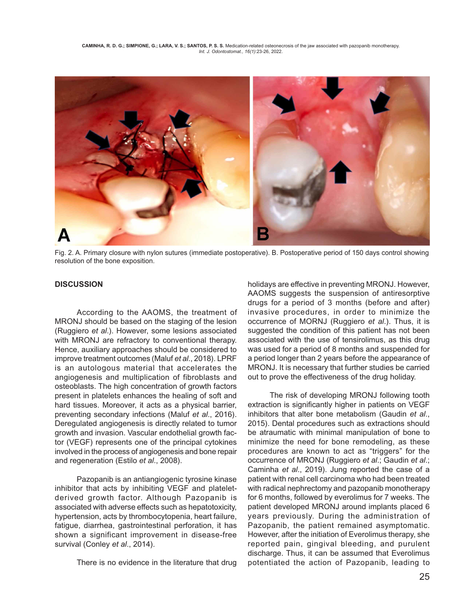**CAMINHA, R. D. G.; SIMPIONE, G.; LARA, V. S.; SANTOS, P. S. S.** Medication-related osteonecrosis of the jaw associated with pazopanib monotherapy. *Int. J. Odontostomat., 16(1)*:23-26, 2022.



Fig. 2. A. Primary closure with nylon sutures (immediate postoperative). B. Postoperative period of 150 days control showing resolution of the bone exposition.

## **DISCUSSION**

According to the AAOMS, the treatment of MRONJ should be based on the staging of the lesion (Ruggiero *et al*.). However, some lesions associated with MRONJ are refractory to conventional therapy. Hence, auxiliary approaches should be considered to improve treatment outcomes (Maluf *et al*., 2018). LPRF is an autologous material that accelerates the angiogenesis and multiplication of fibroblasts and osteoblasts. The high concentration of growth factors present in platelets enhances the healing of soft and hard tissues. Moreover, it acts as a physical barrier, preventing secondary infections (Maluf *et al*., 2016). Deregulated angiogenesis is directly related to tumor growth and invasion. Vascular endothelial growth factor (VEGF) represents one of the principal cytokines involved in the process of angiogenesis and bone repair and regeneration (Estilo *et al*., 2008).

Pazopanib is an antiangiogenic tyrosine kinase inhibitor that acts by inhibiting VEGF and plateletderived growth factor. Although Pazopanib is associated with adverse effects such as hepatotoxicity, hypertension, acts by thrombocytopenia, heart failure, fatigue, diarrhea, gastrointestinal perforation, it has shown a significant improvement in disease-free survival (Conley *et al*., 2014).

There is no evidence in the literature that drug

holidays are effective in preventing MRONJ. However, AAOMS suggests the suspension of antiresorptive drugs for a period of 3 months (before and after) invasive procedures, in order to minimize the occurrence of MORNJ (Ruggiero *et al*.). Thus, it is suggested the condition of this patient has not been associated with the use of tensirolimus, as this drug was used for a period of 8 months and suspended for a period longer than 2 years before the appearance of MRONJ. It is necessary that further studies be carried out to prove the effectiveness of the drug holiday.

The risk of developing MRONJ following tooth extraction is significantly higher in patients on VEGF inhibitors that alter bone metabolism (Gaudin *et al*., 2015). Dental procedures such as extractions should be atraumatic with minimal manipulation of bone to minimize the need for bone remodeling, as these procedures are known to act as "triggers" for the occurrence of MRONJ (Ruggiero *et al*.; Gaudin *et al*.; Caminha *et al*., 2019). Jung reported the case of a patient with renal cell carcinoma who had been treated with radical nephrectomy and pazopanib monotherapy for 6 months, followed by everolimus for 7 weeks. The patient developed MRONJ around implants placed 6 years previously. During the administration of Pazopanib, the patient remained asymptomatic. However, after the initiation of Everolimus therapy, she reported pain, gingival bleeding, and purulent discharge. Thus, it can be assumed that Everolimus potentiated the action of Pazopanib, leading to